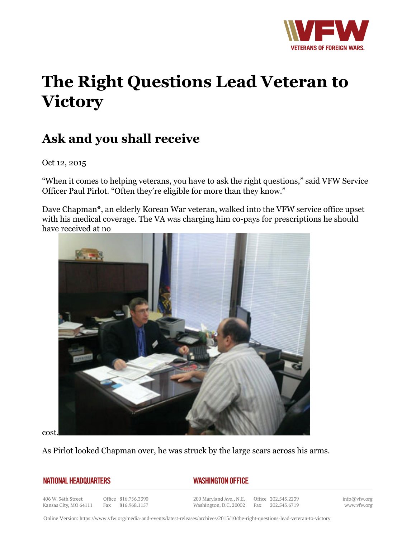

## **The Right Questions Lead Veteran to Victory**

## **Ask and you shall receive**

Oct 12, 2015

"When it comes to helping veterans, you have to ask the right questions," said VFW Service Officer Paul Pirlot. "Often they're eligible for more than they know."

Dave Chapman\*, an elderly Korean War veteran, walked into the VFW service office upset with his medical coverage. The VA was charging him co-pays for prescriptions he should have received at no



cost.

As Pirlot looked Chapman over, he was struck by the large scars across his arms.

## **NATIONAL HEADQUARTERS**

## *WASHINGTON OFFICE*

406 W. 34th Street Kansas City, MO 64111

Office 816.756.3390 Fax 816.968.1157

200 Maryland Ave., N.E. Washington, D.C. 20002

Office 202.543.2239 Fax 202.543.6719

info@vfw.org www.vfw.org

Online Version:<https://www.vfw.org/media-and-events/latest-releases/archives/2015/10/the-right-questions-lead-veteran-to-victory>